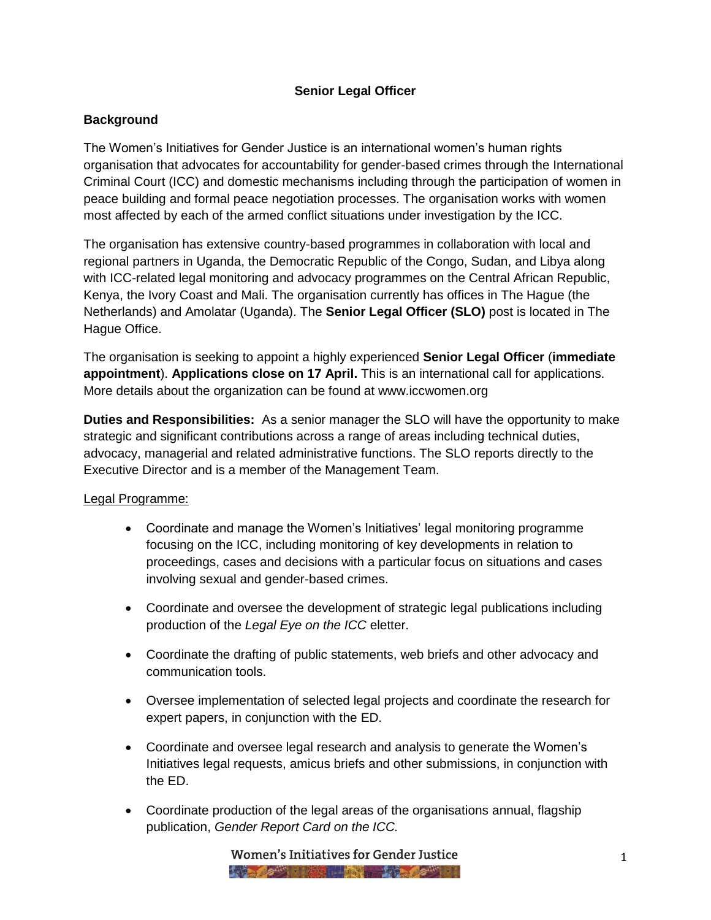# **Senior Legal Officer**

# **Background**

The Women's Initiatives for Gender Justice is an international women's human rights organisation that advocates for accountability for gender-based crimes through the International Criminal Court (ICC) and domestic mechanisms including through the participation of women in peace building and formal peace negotiation processes. The organisation works with women most affected by each of the armed conflict situations under investigation by the ICC.

The organisation has extensive country-based programmes in collaboration with local and regional partners in Uganda, the Democratic Republic of the Congo, Sudan, and Libya along with ICC-related legal monitoring and advocacy programmes on the Central African Republic, Kenya, the Ivory Coast and Mali. The organisation currently has offices in The Hague (the Netherlands) and Amolatar (Uganda). The **Senior Legal Officer (SLO)** post is located in The Hague Office.

The organisation is seeking to appoint a highly experienced **Senior Legal Officer** (**immediate appointment**). **Applications close on 17 April.** This is an international call for applications. More details about the organization can be found at www.iccwomen.org

**Duties and Responsibilities:** As a senior manager the SLO will have the opportunity to make strategic and significant contributions across a range of areas including technical duties, advocacy, managerial and related administrative functions. The SLO reports directly to the Executive Director and is a member of the Management Team.

### Legal Programme:

- Coordinate and manage the Women's Initiatives' legal monitoring programme focusing on the ICC, including monitoring of key developments in relation to proceedings, cases and decisions with a particular focus on situations and cases involving sexual and gender-based crimes.
- Coordinate and oversee the development of strategic legal publications including production of the *Legal Eye on the ICC* eletter.
- Coordinate the drafting of public statements, web briefs and other advocacy and communication tools.
- Oversee implementation of selected legal projects and coordinate the research for expert papers, in conjunction with the ED.
- Coordinate and oversee legal research and analysis to generate the Women's Initiatives legal requests, amicus briefs and other submissions, in conjunction with the ED.
- Coordinate production of the legal areas of the organisations annual, flagship publication, *Gender Report Card on the ICC.*

Women's Initiatives for Gender Justice **FOR A 2008 - 2008 STATE ROOM AND A 2008 PARTIES**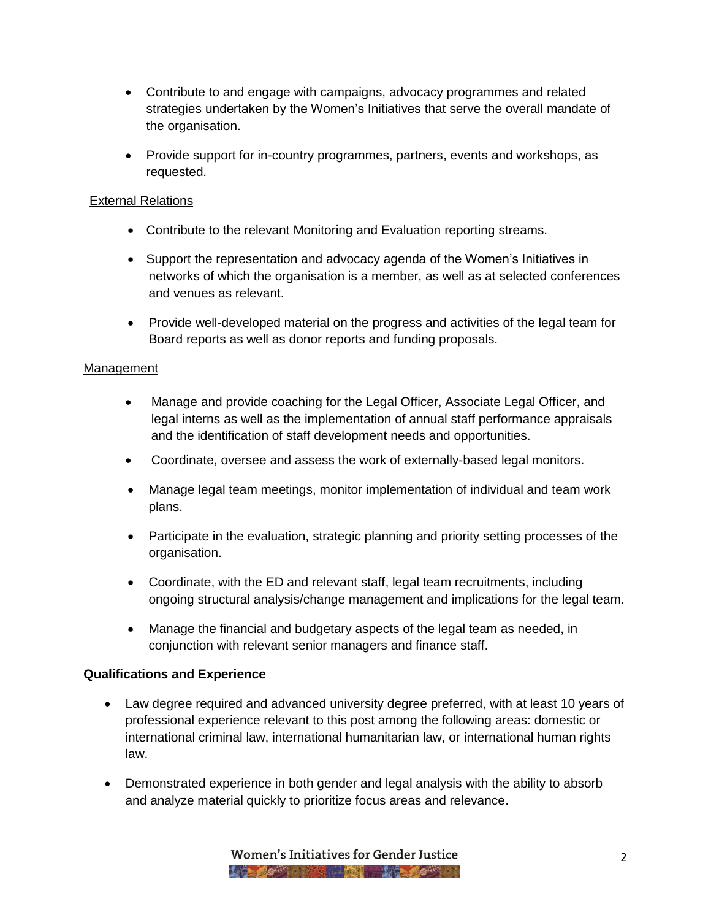- Contribute to and engage with campaigns, advocacy programmes and related strategies undertaken by the Women's Initiatives that serve the overall mandate of the organisation.
- Provide support for in-country programmes, partners, events and workshops, as requested.

# External Relations

- Contribute to the relevant Monitoring and Evaluation reporting streams.
- Support the representation and advocacy agenda of the Women's Initiatives in networks of which the organisation is a member, as well as at selected conferences and venues as relevant.
- Provide well-developed material on the progress and activities of the legal team for Board reports as well as donor reports and funding proposals.

### Management

- Manage and provide coaching for the Legal Officer, Associate Legal Officer, and legal interns as well as the implementation of annual staff performance appraisals and the identification of staff development needs and opportunities.
- Coordinate, oversee and assess the work of externally-based legal monitors.
- Manage legal team meetings, monitor implementation of individual and team work plans.
- Participate in the evaluation, strategic planning and priority setting processes of the organisation.
- Coordinate, with the ED and relevant staff, legal team recruitments, including ongoing structural analysis/change management and implications for the legal team.
- Manage the financial and budgetary aspects of the legal team as needed, in conjunction with relevant senior managers and finance staff.

# **Qualifications and Experience**

- Law degree required and advanced university degree preferred, with at least 10 years of professional experience relevant to this post among the following areas: domestic or international criminal law, international humanitarian law, or international human rights law.
- Demonstrated experience in both gender and legal analysis with the ability to absorb and analyze material quickly to prioritize focus areas and relevance.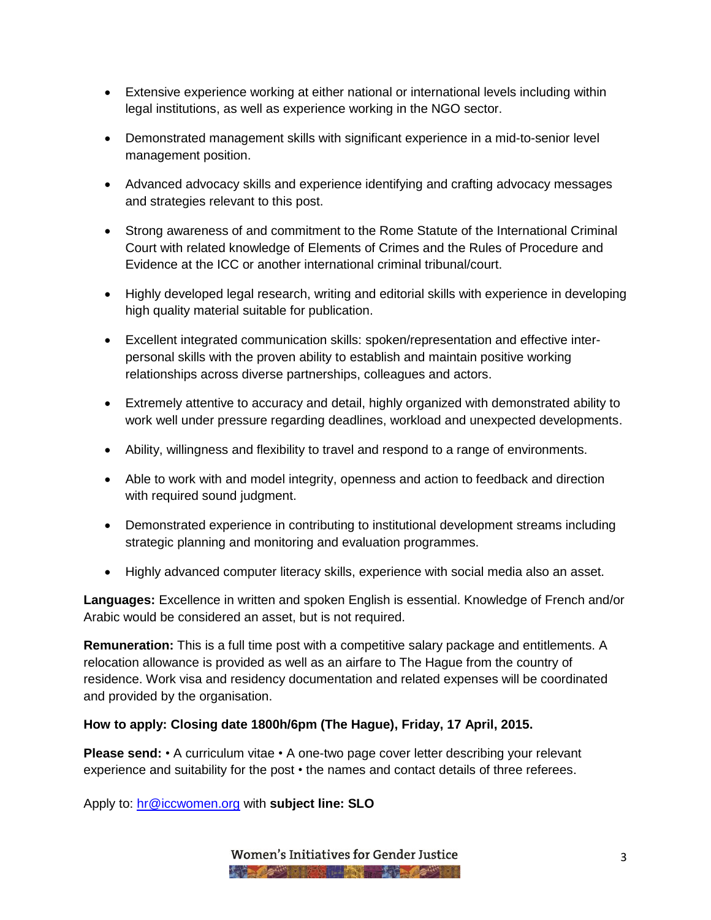- Extensive experience working at either national or international levels including within legal institutions, as well as experience working in the NGO sector.
- Demonstrated management skills with significant experience in a mid-to-senior level management position.
- Advanced advocacy skills and experience identifying and crafting advocacy messages and strategies relevant to this post.
- Strong awareness of and commitment to the Rome Statute of the International Criminal Court with related knowledge of Elements of Crimes and the Rules of Procedure and Evidence at the ICC or another international criminal tribunal/court.
- Highly developed legal research, writing and editorial skills with experience in developing high quality material suitable for publication.
- Excellent integrated communication skills: spoken/representation and effective interpersonal skills with the proven ability to establish and maintain positive working relationships across diverse partnerships, colleagues and actors.
- Extremely attentive to accuracy and detail, highly organized with demonstrated ability to work well under pressure regarding deadlines, workload and unexpected developments.
- Ability, willingness and flexibility to travel and respond to a range of environments.
- Able to work with and model integrity, openness and action to feedback and direction with required sound judgment.
- Demonstrated experience in contributing to institutional development streams including strategic planning and monitoring and evaluation programmes.
- Highly advanced computer literacy skills, experience with social media also an asset.

**Languages:** Excellence in written and spoken English is essential. Knowledge of French and/or Arabic would be considered an asset, but is not required.

**Remuneration:** This is a full time post with a competitive salary package and entitlements. A relocation allowance is provided as well as an airfare to The Hague from the country of residence. Work visa and residency documentation and related expenses will be coordinated and provided by the organisation.

### **How to apply: Closing date 1800h/6pm (The Hague), Friday, 17 April, 2015.**

**Please send:** • A curriculum vitae • A one-two page cover letter describing your relevant experience and suitability for the post • the names and contact details of three referees.

Apply to: [hr@iccwomen.org](mailto:hr@iccwomen.org) with **subject line: SLO**